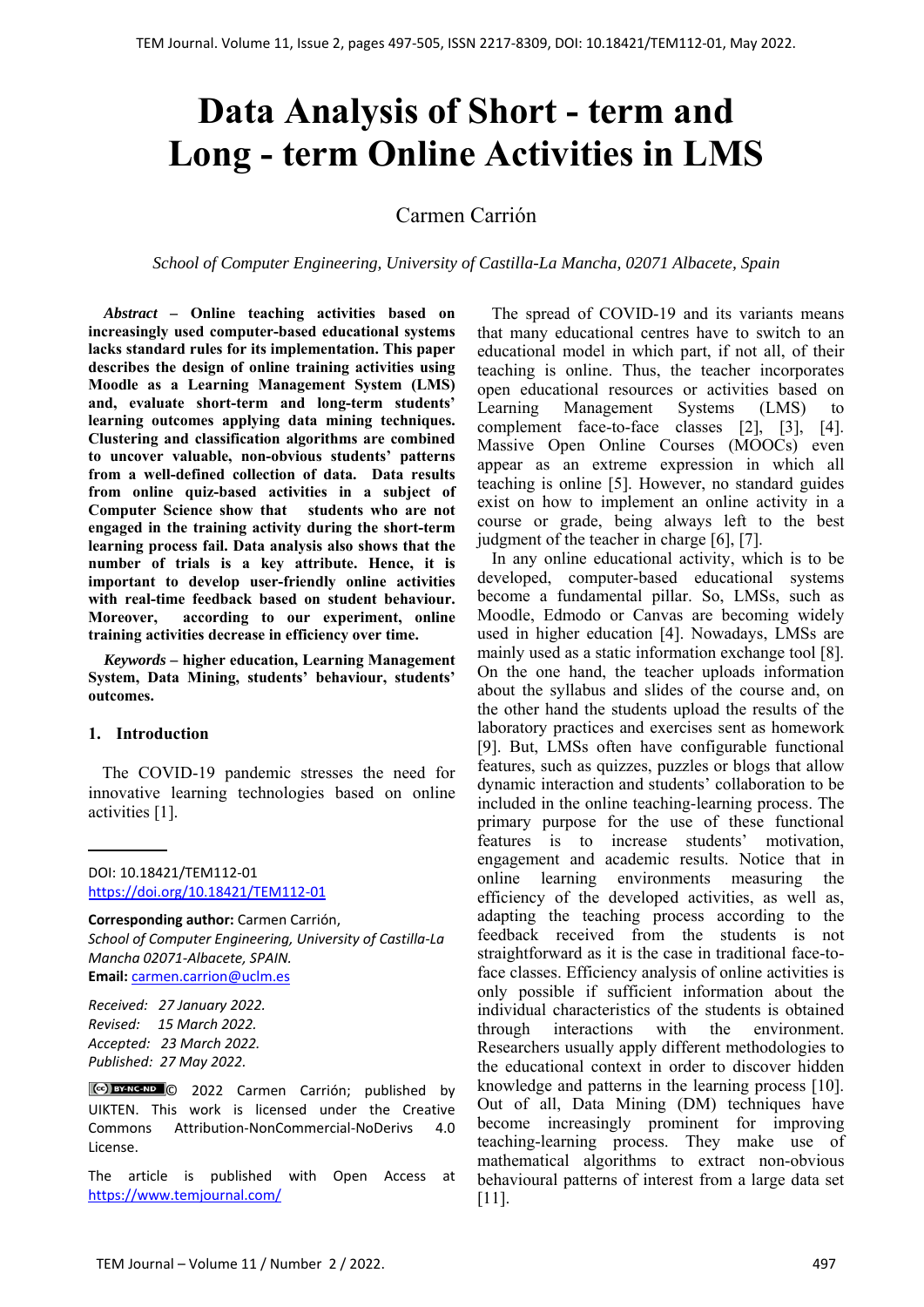# **Data Analysis of Short - term and Long - term Online Activities in LMS**

## Carmen Carrión

*School of Computer Engineering, University of Castilla-La Mancha, 02071 Albacete, Spain* 

*Abstract –* **Online teaching activities based on increasingly used computer-based educational systems lacks standard rules for its implementation. This paper describes the design of online training activities using Moodle as a Learning Management System (LMS) and, evaluate short-term and long-term students' learning outcomes applying data mining techniques. Clustering and classification algorithms are combined to uncover valuable, non-obvious students' patterns from a well-defined collection of data. Data results from online quiz-based activities in a subject of Computer Science show that students who are not engaged in the training activity during the short-term learning process fail. Data analysis also shows that the number of trials is a key attribute. Hence, it is important to develop user-friendly online activities with real-time feedback based on student behaviour. Moreover, according to our experiment, online training activities decrease in efficiency over time.** 

*Keywords –* **higher education, Learning Management System, Data Mining, students' behaviour, students' outcomes.** 

#### **1. Introduction**

The COVID-19 pandemic stresses the need for innovative learning technologies based on online activities [1].

DOI: 10.18421/TEM112-01 [https://doi.org/10.18421/TEM112](https://doi.org/10.18421/TEM112-01)-01

**Corresponding author:** Carmen Carrión, *School of Computer Engineering, University of Castilla‐La Mancha 02071‐Albacete, SPAIN.*  **Email:** carmen.carrion@uclm.es

*Received: 27 January 2022. Revised: 15 March 2022. Accepted: 23 March 2022. Published: 27 May 2022.* 

© 2022 Carmen Carrión; published by UIKTEN. This work is licensed under the Creative Commons Attribution‐NonCommercial‐NoDerivs 4.0 License.

The article is published with Open Access at https://www.temjournal.com/

The spread of COVID-19 and its variants means that many educational centres have to switch to an educational model in which part, if not all, of their teaching is online. Thus, the teacher incorporates open educational resources or activities based on Learning Management Systems (LMS) to complement face-to-face classes [2], [3], [4]. Massive Open Online Courses (MOOCs) even appear as an extreme expression in which all teaching is online [5]. However, no standard guides exist on how to implement an online activity in a course or grade, being always left to the best judgment of the teacher in charge [6], [7].

In any online educational activity, which is to be developed, computer-based educational systems become a fundamental pillar. So, LMSs, such as Moodle, Edmodo or Canvas are becoming widely used in higher education [4]. Nowadays, LMSs are mainly used as a static information exchange tool [8]. On the one hand, the teacher uploads information about the syllabus and slides of the course and, on the other hand the students upload the results of the laboratory practices and exercises sent as homework [9]. But, LMSs often have configurable functional features, such as quizzes, puzzles or blogs that allow dynamic interaction and students' collaboration to be included in the online teaching-learning process. The primary purpose for the use of these functional features is to increase students' motivation, engagement and academic results. Notice that in online learning environments measuring the efficiency of the developed activities, as well as, adapting the teaching process according to the feedback received from the students is not straightforward as it is the case in traditional face-toface classes. Efficiency analysis of online activities is only possible if sufficient information about the individual characteristics of the students is obtained through interactions with the environment. Researchers usually apply different methodologies to the educational context in order to discover hidden knowledge and patterns in the learning process [10]. Out of all, Data Mining (DM) techniques have become increasingly prominent for improving teaching-learning process. They make use of mathematical algorithms to extract non-obvious behavioural patterns of interest from a large data set [11].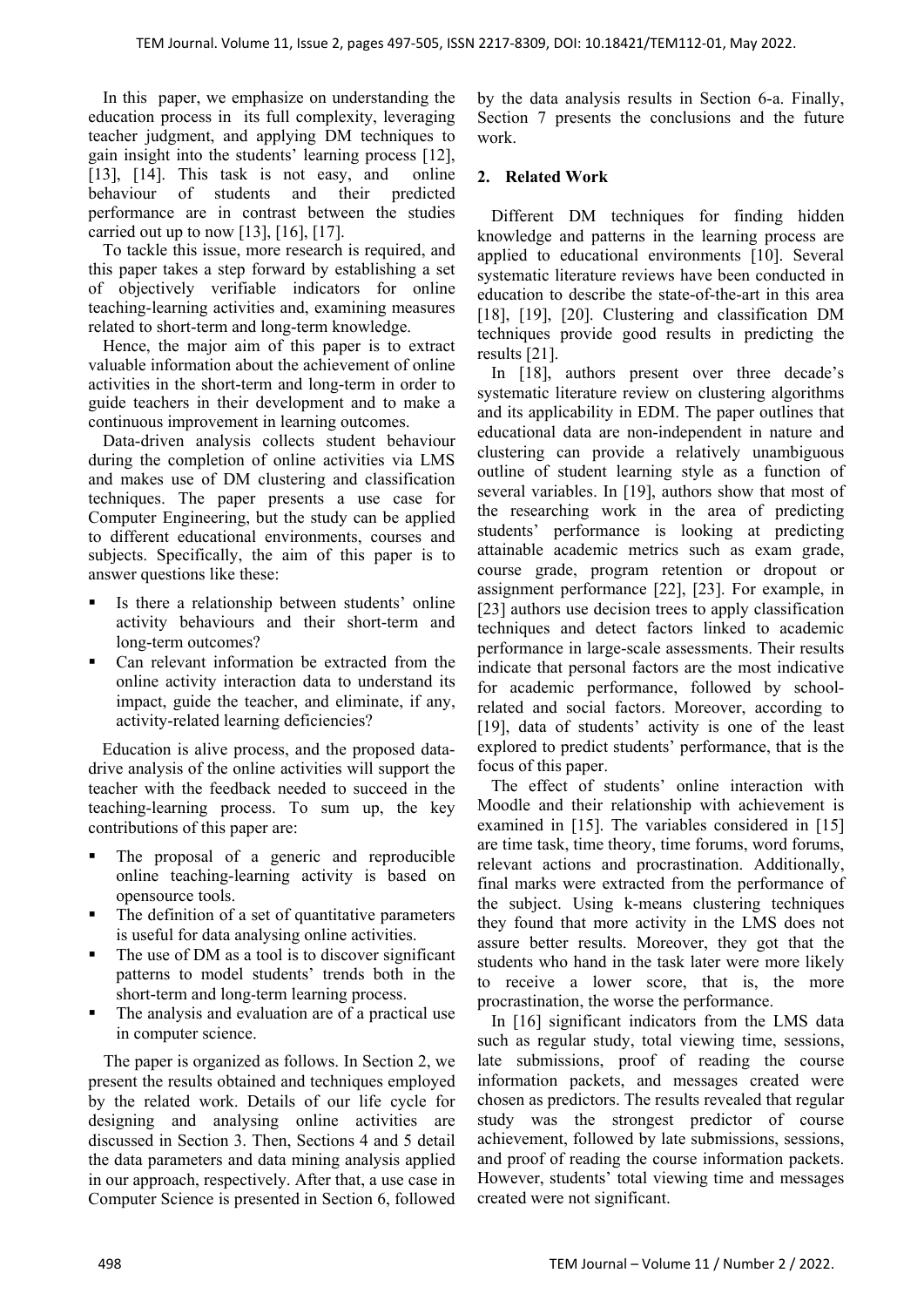In this paper, we emphasize on understanding the education process in its full complexity, leveraging teacher judgment, and applying DM techniques to gain insight into the students' learning process [12], [13], [14]. This task is not easy, and online behaviour of students and their predicted performance are in contrast between the studies carried out up to now [13], [16], [17].

To tackle this issue, more research is required, and this paper takes a step forward by establishing a set of objectively verifiable indicators for online teaching-learning activities and, examining measures related to short-term and long-term knowledge.

Hence, the major aim of this paper is to extract valuable information about the achievement of online activities in the short-term and long-term in order to guide teachers in their development and to make a continuous improvement in learning outcomes.

Data-driven analysis collects student behaviour during the completion of online activities via LMS and makes use of DM clustering and classification techniques. The paper presents a use case for Computer Engineering, but the study can be applied to different educational environments, courses and subjects. Specifically, the aim of this paper is to answer questions like these:

- Is there a relationship between students' online activity behaviours and their short-term and long-term outcomes?
- Can relevant information be extracted from the online activity interaction data to understand its impact, guide the teacher, and eliminate, if any, activity-related learning deficiencies?

Education is alive process, and the proposed datadrive analysis of the online activities will support the teacher with the feedback needed to succeed in the teaching-learning process. To sum up, the key contributions of this paper are:

- The proposal of a generic and reproducible online teaching-learning activity is based on opensource tools.
- The definition of a set of quantitative parameters is useful for data analysing online activities.
- The use of DM as a tool is to discover significant patterns to model students' trends both in the short-term and long-term learning process.
- The analysis and evaluation are of a practical use in computer science.

The paper is organized as follows. In Section 2, we present the results obtained and techniques employed by the related work. Details of our life cycle for designing and analysing online activities are discussed in Section 3. Then, Sections 4 and 5 detail the data parameters and data mining analysis applied in our approach, respectively. After that, a use case in Computer Science is presented in Section 6, followed by the data analysis results in Section 6-a. Finally, Section 7 presents the conclusions and the future work.

## **2. Related Work**

Different DM techniques for finding hidden knowledge and patterns in the learning process are applied to educational environments [10]. Several systematic literature reviews have been conducted in education to describe the state-of-the-art in this area [18], [19], [20]. Clustering and classification DM techniques provide good results in predicting the results [21].

In [18], authors present over three decade's systematic literature review on clustering algorithms and its applicability in EDM. The paper outlines that educational data are non-independent in nature and clustering can provide a relatively unambiguous outline of student learning style as a function of several variables. In [19], authors show that most of the researching work in the area of predicting students' performance is looking at predicting attainable academic metrics such as exam grade, course grade, program retention or dropout or assignment performance [22], [23]. For example, in [23] authors use decision trees to apply classification techniques and detect factors linked to academic performance in large-scale assessments. Their results indicate that personal factors are the most indicative for academic performance, followed by schoolrelated and social factors. Moreover, according to [19], data of students' activity is one of the least explored to predict students' performance, that is the focus of this paper.

The effect of students' online interaction with Moodle and their relationship with achievement is examined in [15]. The variables considered in [15] are time task, time theory, time forums, word forums, relevant actions and procrastination. Additionally, final marks were extracted from the performance of the subject. Using k-means clustering techniques they found that more activity in the LMS does not assure better results. Moreover, they got that the students who hand in the task later were more likely to receive a lower score, that is, the more procrastination, the worse the performance.

In [16] significant indicators from the LMS data such as regular study, total viewing time, sessions, late submissions, proof of reading the course information packets, and messages created were chosen as predictors. The results revealed that regular study was the strongest predictor of course achievement, followed by late submissions, sessions, and proof of reading the course information packets. However, students' total viewing time and messages created were not significant.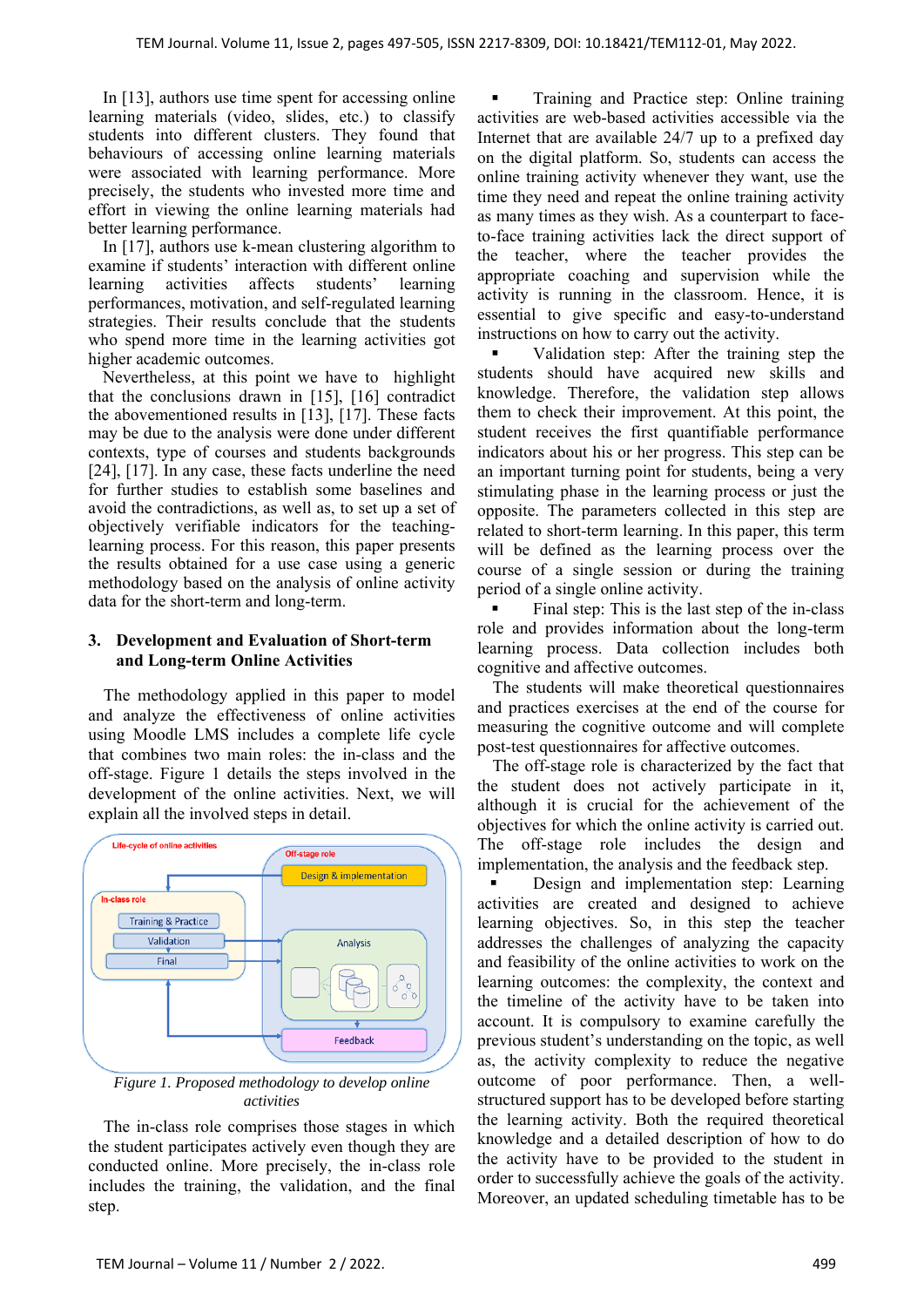In [13], authors use time spent for accessing online learning materials (video, slides, etc.) to classify students into different clusters. They found that behaviours of accessing online learning materials were associated with learning performance. More precisely, the students who invested more time and effort in viewing the online learning materials had better learning performance.

In [17], authors use k-mean clustering algorithm to examine if students' interaction with different online learning activities affects students' learning performances, motivation, and self-regulated learning strategies. Their results conclude that the students who spend more time in the learning activities got higher academic outcomes.

Nevertheless, at this point we have to highlight that the conclusions drawn in [15], [16] contradict the abovementioned results in [13], [17]. These facts may be due to the analysis were done under different contexts, type of courses and students backgrounds [24], [17]. In any case, these facts underline the need for further studies to establish some baselines and avoid the contradictions, as well as, to set up a set of objectively verifiable indicators for the teachinglearning process. For this reason, this paper presents the results obtained for a use case using a generic methodology based on the analysis of online activity data for the short-term and long-term.

#### **3. Development and Evaluation of Short-term and Long-term Online Activities**

The methodology applied in this paper to model and analyze the effectiveness of online activities using Moodle LMS includes a complete life cycle that combines two main roles: the in-class and the off-stage. Figure 1 details the steps involved in the development of the online activities. Next, we will explain all the involved steps in detail.



*Figure 1. Proposed methodology to develop online activities* 

The in-class role comprises those stages in which the student participates actively even though they are conducted online. More precisely, the in-class role includes the training, the validation, and the final step.

 Training and Practice step: Online training activities are web-based activities accessible via the Internet that are available 24/7 up to a prefixed day on the digital platform. So, students can access the online training activity whenever they want, use the time they need and repeat the online training activity as many times as they wish. As a counterpart to faceto-face training activities lack the direct support of the teacher, where the teacher provides the appropriate coaching and supervision while the activity is running in the classroom. Hence, it is essential to give specific and easy-to-understand instructions on how to carry out the activity.

 Validation step: After the training step the students should have acquired new skills and knowledge. Therefore, the validation step allows them to check their improvement. At this point, the student receives the first quantifiable performance indicators about his or her progress. This step can be an important turning point for students, being a very stimulating phase in the learning process or just the opposite. The parameters collected in this step are related to short-term learning. In this paper, this term will be defined as the learning process over the course of a single session or during the training period of a single online activity.

 Final step: This is the last step of the in-class role and provides information about the long-term learning process. Data collection includes both cognitive and affective outcomes.

The students will make theoretical questionnaires and practices exercises at the end of the course for measuring the cognitive outcome and will complete post-test questionnaires for affective outcomes.

The off-stage role is characterized by the fact that the student does not actively participate in it, although it is crucial for the achievement of the objectives for which the online activity is carried out. The off-stage role includes the design and implementation, the analysis and the feedback step.

Design and implementation step: Learning activities are created and designed to achieve learning objectives. So, in this step the teacher addresses the challenges of analyzing the capacity and feasibility of the online activities to work on the learning outcomes: the complexity, the context and the timeline of the activity have to be taken into account. It is compulsory to examine carefully the previous student's understanding on the topic, as well as, the activity complexity to reduce the negative outcome of poor performance. Then, a wellstructured support has to be developed before starting the learning activity. Both the required theoretical knowledge and a detailed description of how to do the activity have to be provided to the student in order to successfully achieve the goals of the activity. Moreover, an updated scheduling timetable has to be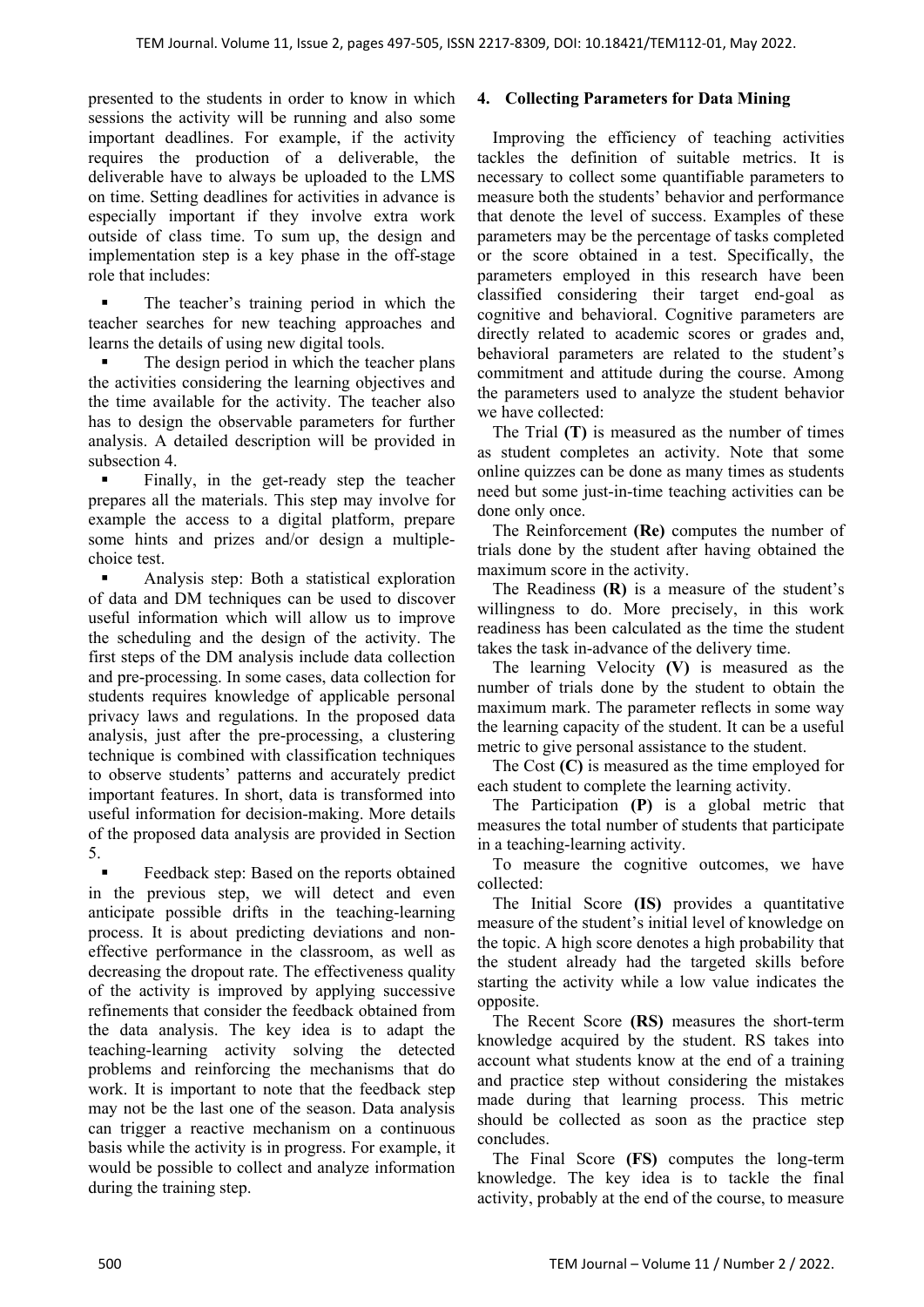presented to the students in order to know in which sessions the activity will be running and also some important deadlines. For example, if the activity requires the production of a deliverable, the deliverable have to always be uploaded to the LMS on time. Setting deadlines for activities in advance is especially important if they involve extra work outside of class time. To sum up, the design and implementation step is a key phase in the off-stage role that includes:

 The teacher's training period in which the teacher searches for new teaching approaches and learns the details of using new digital tools.

 The design period in which the teacher plans the activities considering the learning objectives and the time available for the activity. The teacher also has to design the observable parameters for further analysis. A detailed description will be provided in subsection 4.

 Finally, in the get-ready step the teacher prepares all the materials. This step may involve for example the access to a digital platform, prepare some hints and prizes and/or design a multiplechoice test.

 Analysis step: Both a statistical exploration of data and DM techniques can be used to discover useful information which will allow us to improve the scheduling and the design of the activity. The first steps of the DM analysis include data collection and pre-processing. In some cases, data collection for students requires knowledge of applicable personal privacy laws and regulations. In the proposed data analysis, just after the pre-processing, a clustering technique is combined with classification techniques to observe students' patterns and accurately predict important features. In short, data is transformed into useful information for decision-making. More details of the proposed data analysis are provided in Section 5.

 Feedback step: Based on the reports obtained in the previous step, we will detect and even anticipate possible drifts in the teaching-learning process. It is about predicting deviations and noneffective performance in the classroom, as well as decreasing the dropout rate. The effectiveness quality of the activity is improved by applying successive refinements that consider the feedback obtained from the data analysis. The key idea is to adapt the teaching-learning activity solving the detected problems and reinforcing the mechanisms that do work. It is important to note that the feedback step may not be the last one of the season. Data analysis can trigger a reactive mechanism on a continuous basis while the activity is in progress. For example, it would be possible to collect and analyze information during the training step.

# **4. Collecting Parameters for Data Mining**

Improving the efficiency of teaching activities tackles the definition of suitable metrics. It is necessary to collect some quantifiable parameters to measure both the students' behavior and performance that denote the level of success. Examples of these parameters may be the percentage of tasks completed or the score obtained in a test. Specifically, the parameters employed in this research have been classified considering their target end-goal as cognitive and behavioral. Cognitive parameters are directly related to academic scores or grades and, behavioral parameters are related to the student's commitment and attitude during the course. Among the parameters used to analyze the student behavior we have collected:

The Trial **(T)** is measured as the number of times as student completes an activity. Note that some online quizzes can be done as many times as students need but some just-in-time teaching activities can be done only once.

The Reinforcement **(Re)** computes the number of trials done by the student after having obtained the maximum score in the activity.

The Readiness **(R)** is a measure of the student's willingness to do. More precisely, in this work readiness has been calculated as the time the student takes the task in-advance of the delivery time.

The learning Velocity **(V)** is measured as the number of trials done by the student to obtain the maximum mark. The parameter reflects in some way the learning capacity of the student. It can be a useful metric to give personal assistance to the student.

The Cost **(C)** is measured as the time employed for each student to complete the learning activity.

The Participation **(P)** is a global metric that measures the total number of students that participate in a teaching-learning activity.

To measure the cognitive outcomes, we have collected:

The Initial Score **(IS)** provides a quantitative measure of the student's initial level of knowledge on the topic. A high score denotes a high probability that the student already had the targeted skills before starting the activity while a low value indicates the opposite.

The Recent Score **(RS)** measures the short-term knowledge acquired by the student. RS takes into account what students know at the end of a training and practice step without considering the mistakes made during that learning process. This metric should be collected as soon as the practice step concludes.

The Final Score **(FS)** computes the long-term knowledge. The key idea is to tackle the final activity, probably at the end of the course, to measure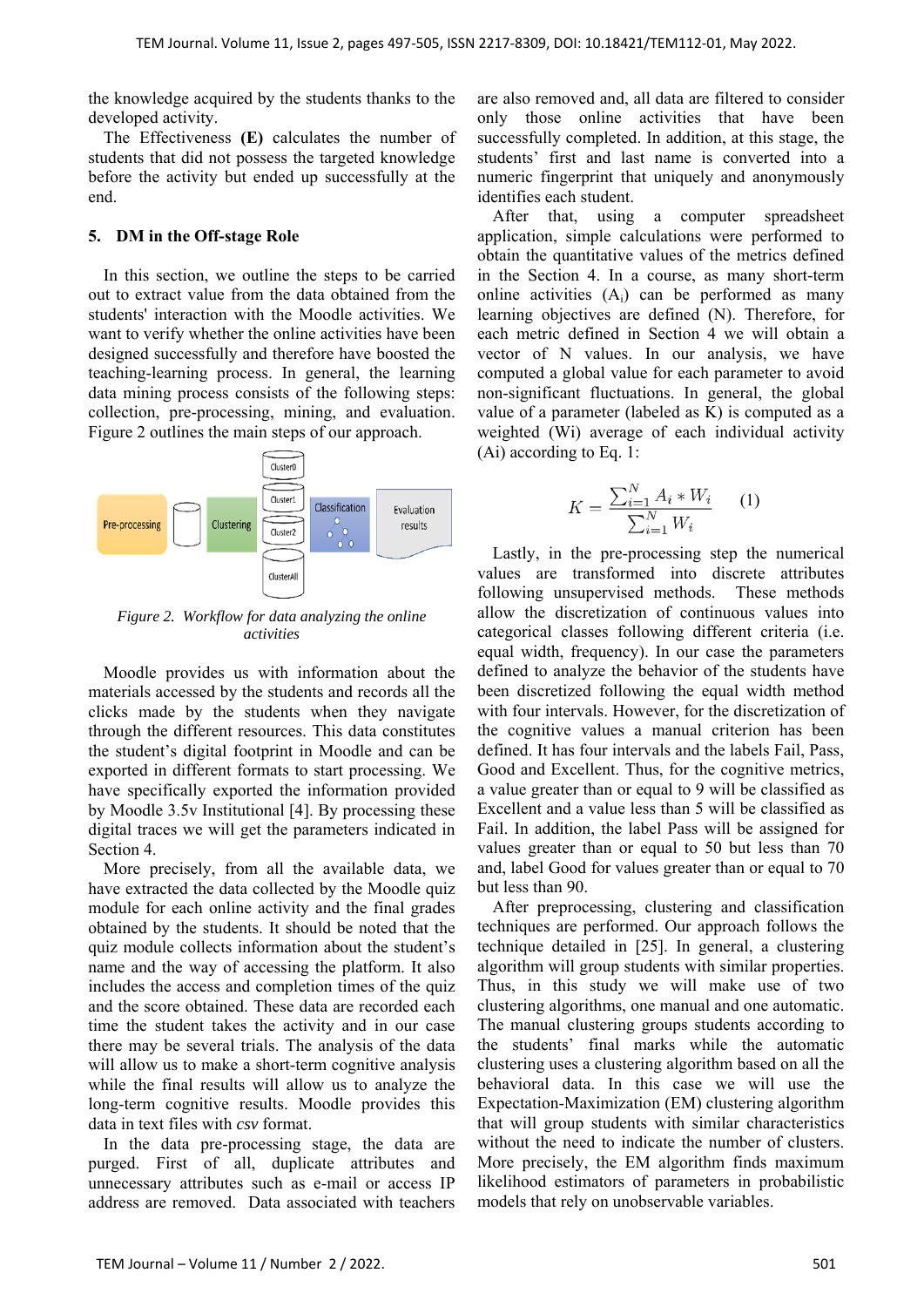the knowledge acquired by the students thanks to the developed activity.

The Effectiveness **(E)** calculates the number of students that did not possess the targeted knowledge before the activity but ended up successfully at the end.

#### **5. DM in the Off-stage Role**

In this section, we outline the steps to be carried out to extract value from the data obtained from the students' interaction with the Moodle activities. We want to verify whether the online activities have been designed successfully and therefore have boosted the teaching-learning process. In general, the learning data mining process consists of the following steps: collection, pre-processing, mining, and evaluation. Figure 2 outlines the main steps of our approach.



*Figure 2. Workflow for data analyzing the online activities* 

Moodle provides us with information about the materials accessed by the students and records all the clicks made by the students when they navigate through the different resources. This data constitutes the student's digital footprint in Moodle and can be exported in different formats to start processing. We have specifically exported the information provided by Moodle 3.5v Institutional [4]. By processing these digital traces we will get the parameters indicated in Section 4.

More precisely, from all the available data, we have extracted the data collected by the Moodle quiz module for each online activity and the final grades obtained by the students. It should be noted that the quiz module collects information about the student's name and the way of accessing the platform. It also includes the access and completion times of the quiz and the score obtained. These data are recorded each time the student takes the activity and in our case there may be several trials. The analysis of the data will allow us to make a short-term cognitive analysis while the final results will allow us to analyze the long-term cognitive results. Moodle provides this data in text files with *csv* format.

In the data pre-processing stage, the data are purged. First of all, duplicate attributes and unnecessary attributes such as e-mail or access IP address are removed. Data associated with teachers are also removed and, all data are filtered to consider only those online activities that have been successfully completed. In addition, at this stage, the students' first and last name is converted into a numeric fingerprint that uniquely and anonymously identifies each student.

After that, using a computer spreadsheet application, simple calculations were performed to obtain the quantitative values of the metrics defined in the Section 4. In a course, as many short-term online activities  $(A_i)$  can be performed as many learning objectives are defined (N). Therefore, for each metric defined in Section 4 we will obtain a vector of N values. In our analysis, we have computed a global value for each parameter to avoid non-significant fluctuations. In general, the global value of a parameter (labeled as K) is computed as a weighted (Wi) average of each individual activity (Ai) according to Eq. 1:

$$
K = \frac{\sum_{i=1}^{N} A_i * W_i}{\sum_{i=1}^{N} W_i}
$$
 (1)

Lastly, in the pre-processing step the numerical values are transformed into discrete attributes following unsupervised methods. These methods allow the discretization of continuous values into categorical classes following different criteria (i.e. equal width, frequency). In our case the parameters defined to analyze the behavior of the students have been discretized following the equal width method with four intervals. However, for the discretization of the cognitive values a manual criterion has been defined. It has four intervals and the labels Fail, Pass, Good and Excellent. Thus, for the cognitive metrics, a value greater than or equal to 9 will be classified as Excellent and a value less than 5 will be classified as Fail. In addition, the label Pass will be assigned for values greater than or equal to 50 but less than 70 and, label Good for values greater than or equal to 70 but less than 90.

After preprocessing, clustering and classification techniques are performed. Our approach follows the technique detailed in [25]. In general, a clustering algorithm will group students with similar properties. Thus, in this study we will make use of two clustering algorithms, one manual and one automatic. The manual clustering groups students according to the students' final marks while the automatic clustering uses a clustering algorithm based on all the behavioral data. In this case we will use the Expectation-Maximization (EM) clustering algorithm that will group students with similar characteristics without the need to indicate the number of clusters. More precisely, the EM algorithm finds maximum likelihood estimators of parameters in probabilistic models that rely on unobservable variables.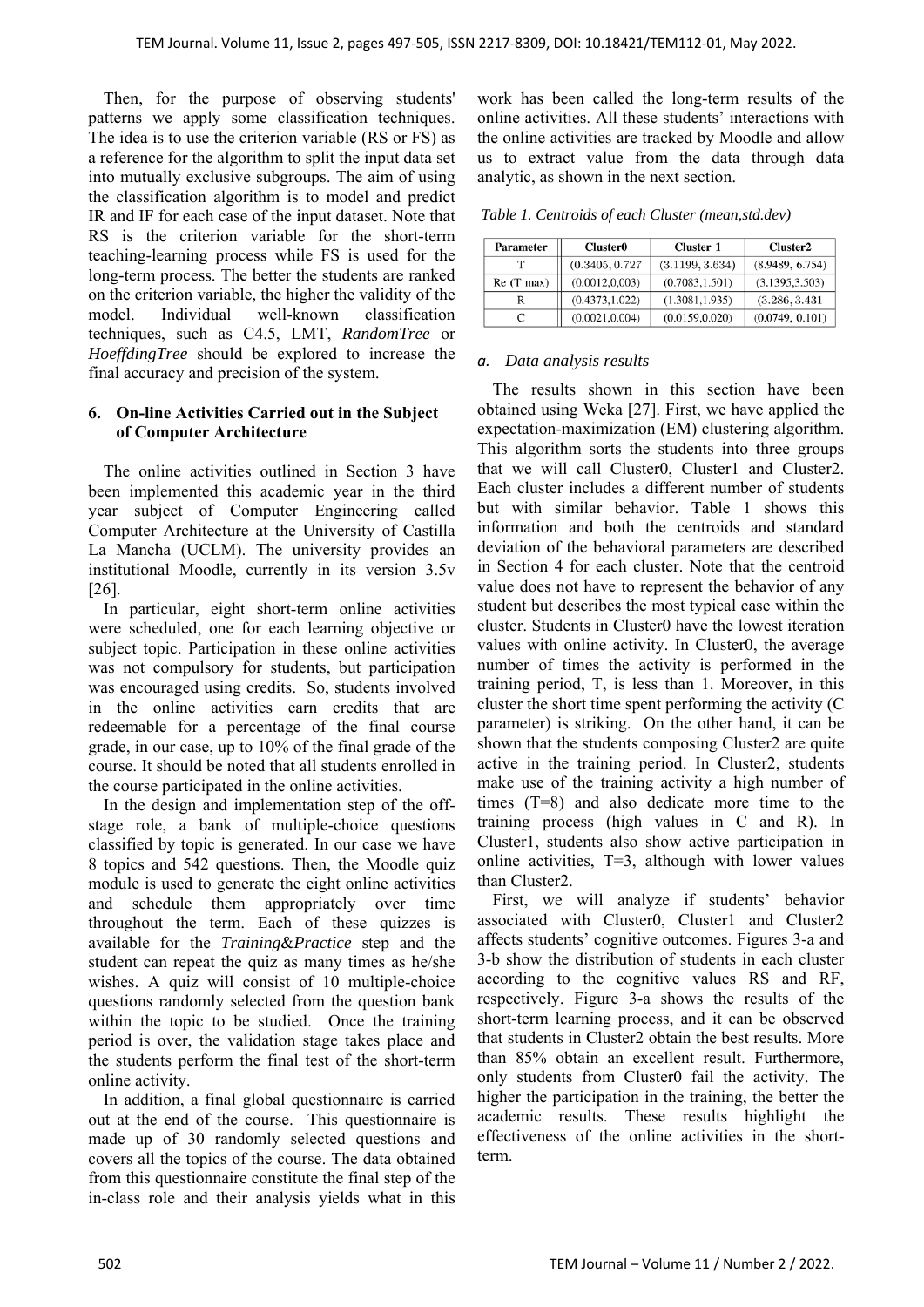Then, for the purpose of observing students' patterns we apply some classification techniques. The idea is to use the criterion variable (RS or FS) as a reference for the algorithm to split the input data set into mutually exclusive subgroups. The aim of using the classification algorithm is to model and predict IR and IF for each case of the input dataset. Note that RS is the criterion variable for the short-term teaching-learning process while FS is used for the long-term process. The better the students are ranked on the criterion variable, the higher the validity of the model. Individual well-known classification techniques, such as C4.5, LMT, *RandomTree* or *HoeffdingTree* should be explored to increase the final accuracy and precision of the system.

### **6. On-line Activities Carried out in the Subject of Computer Architecture**

The online activities outlined in Section 3 have been implemented this academic year in the third year subject of Computer Engineering called Computer Architecture at the University of Castilla La Mancha (UCLM). The university provides an institutional Moodle, currently in its version 3.5v [26].

In particular, eight short-term online activities were scheduled, one for each learning objective or subject topic. Participation in these online activities was not compulsory for students, but participation was encouraged using credits. So, students involved in the online activities earn credits that are redeemable for a percentage of the final course grade, in our case, up to 10% of the final grade of the course. It should be noted that all students enrolled in the course participated in the online activities.

In the design and implementation step of the offstage role, a bank of multiple-choice questions classified by topic is generated. In our case we have 8 topics and 542 questions. Then, the Moodle quiz module is used to generate the eight online activities and schedule them appropriately over time throughout the term. Each of these quizzes is available for the *Training*&*Practice* step and the student can repeat the quiz as many times as he/she wishes. A quiz will consist of 10 multiple-choice questions randomly selected from the question bank within the topic to be studied. Once the training period is over, the validation stage takes place and the students perform the final test of the short-term online activity.

In addition, a final global questionnaire is carried out at the end of the course. This questionnaire is made up of 30 randomly selected questions and covers all the topics of the course. The data obtained from this questionnaire constitute the final step of the in-class role and their analysis yields what in this

work has been called the long-term results of the online activities. All these students' interactions with the online activities are tracked by Moodle and allow us to extract value from the data through data analytic, as shown in the next section.

 *Table 1. Centroids of each Cluster (mean,std.dev)* 

| Parameter   | <b>Cluster0</b> | <b>Cluster 1</b> | Cluster <sub>2</sub> |
|-------------|-----------------|------------------|----------------------|
|             | (0.3405, 0.727) | (3.1199, 3.634)  | (8.9489, 6.754)      |
| $Re(T$ max) | (0.0012, 0.003) | (0.7083, 1.501)  | (3.1395, 3.503)      |
| R           | (0.4373, 1.022) | (1.3081, 1.935)  | (3.286, 3.431)       |
|             | (0.0021, 0.004) | (0.0159, 0.020)  | (0.0749, 0.101)      |

#### *a. Data analysis results*

The results shown in this section have been obtained using Weka [27]. First, we have applied the expectation-maximization (EM) clustering algorithm. This algorithm sorts the students into three groups that we will call Cluster0, Cluster1 and Cluster2. Each cluster includes a different number of students but with similar behavior. Table 1 shows this information and both the centroids and standard deviation of the behavioral parameters are described in Section 4 for each cluster. Note that the centroid value does not have to represent the behavior of any student but describes the most typical case within the cluster. Students in Cluster0 have the lowest iteration values with online activity. In Cluster0, the average number of times the activity is performed in the training period, T, is less than 1. Moreover, in this cluster the short time spent performing the activity (C parameter) is striking. On the other hand, it can be shown that the students composing Cluster2 are quite active in the training period. In Cluster2, students make use of the training activity a high number of times (T=8) and also dedicate more time to the training process (high values in C and R). In Cluster1, students also show active participation in online activities, T=3, although with lower values than Cluster2.

First, we will analyze if students' behavior associated with Cluster0, Cluster1 and Cluster2 affects students' cognitive outcomes. Figures 3-a and 3-b show the distribution of students in each cluster according to the cognitive values RS and RF, respectively. Figure 3-a shows the results of the short-term learning process, and it can be observed that students in Cluster2 obtain the best results. More than 85% obtain an excellent result. Furthermore, only students from Cluster0 fail the activity. The higher the participation in the training, the better the academic results. These results highlight the effectiveness of the online activities in the shortterm.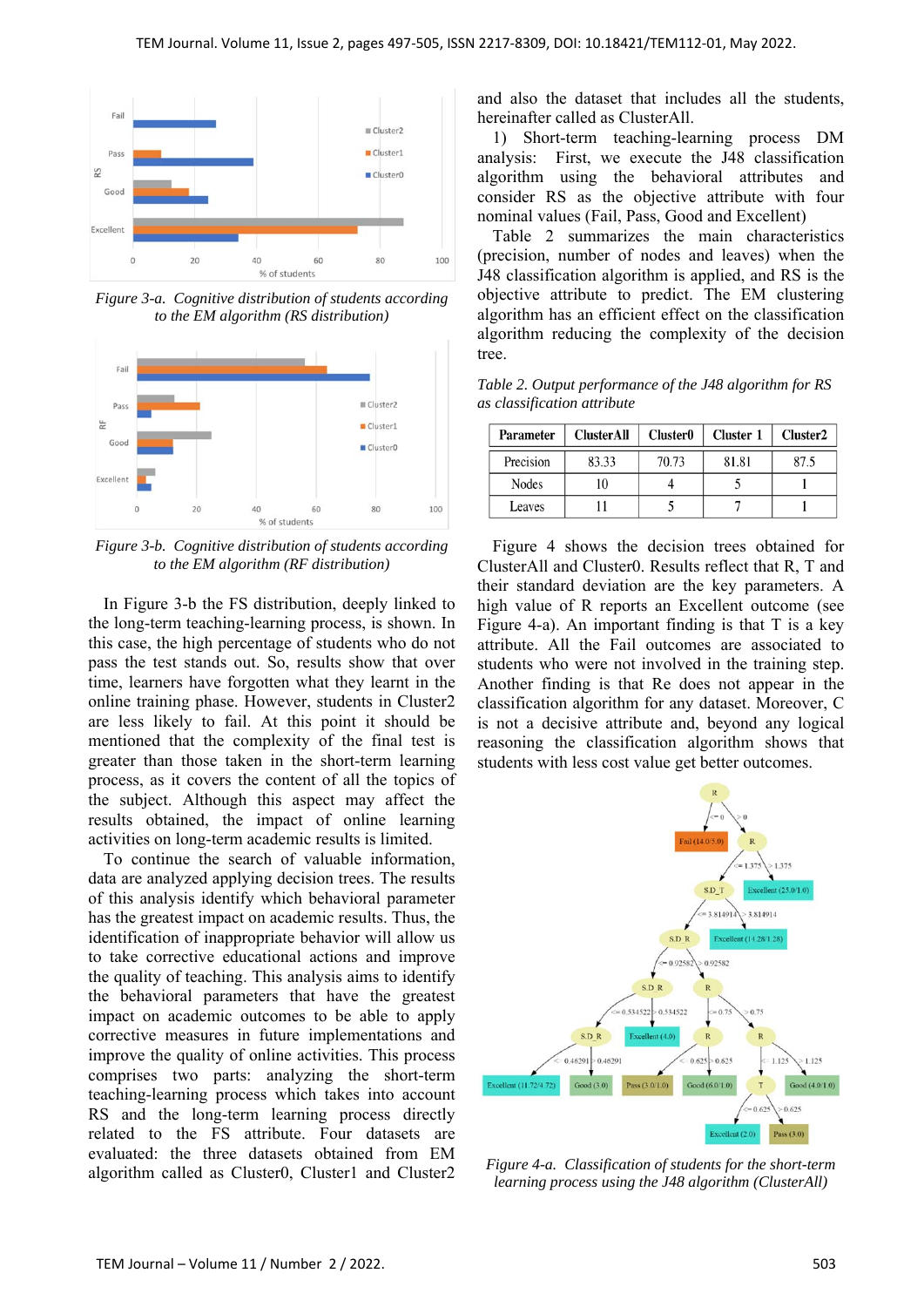

*Figure 3-a. Cognitive distribution of students according to the EM algorithm (RS distribution)* 



*Figure 3-b. Cognitive distribution of students according to the EM algorithm (RF distribution)* 

In Figure 3-b the FS distribution, deeply linked to the long-term teaching-learning process, is shown. In this case, the high percentage of students who do not pass the test stands out. So, results show that over time, learners have forgotten what they learnt in the online training phase. However, students in Cluster2 are less likely to fail. At this point it should be mentioned that the complexity of the final test is greater than those taken in the short-term learning process, as it covers the content of all the topics of the subject. Although this aspect may affect the results obtained, the impact of online learning activities on long-term academic results is limited.

To continue the search of valuable information, data are analyzed applying decision trees. The results of this analysis identify which behavioral parameter has the greatest impact on academic results. Thus, the identification of inappropriate behavior will allow us to take corrective educational actions and improve the quality of teaching. This analysis aims to identify the behavioral parameters that have the greatest impact on academic outcomes to be able to apply corrective measures in future implementations and improve the quality of online activities. This process comprises two parts: analyzing the short-term teaching-learning process which takes into account RS and the long-term learning process directly related to the FS attribute. Four datasets are evaluated: the three datasets obtained from EM algorithm called as Cluster0, Cluster1 and Cluster2 and also the dataset that includes all the students, hereinafter called as ClusterAll.

1) Short-term teaching-learning process DM analysis: First, we execute the J48 classification algorithm using the behavioral attributes and consider RS as the objective attribute with four nominal values (Fail, Pass, Good and Excellent)

Table 2 summarizes the main characteristics (precision, number of nodes and leaves) when the J48 classification algorithm is applied, and RS is the objective attribute to predict. The EM clustering algorithm has an efficient effect on the classification algorithm reducing the complexity of the decision tree.

*Table 2. Output performance of the J48 algorithm for RS as classification attribute*

| <b>Parameter</b> | <b>ClusterAll</b> | <b>Cluster0</b> | Cluster 1 | Cluster2 |
|------------------|-------------------|-----------------|-----------|----------|
| Precision        | 83.33             | 70.73           | 81.81     | 87.5     |
| Nodes            | 10                |                 |           |          |
| Leaves           |                   |                 |           |          |

Figure 4 shows the decision trees obtained for ClusterAll and Cluster0. Results reflect that R, T and their standard deviation are the key parameters. A high value of R reports an Excellent outcome (see Figure 4-a). An important finding is that T is a key attribute. All the Fail outcomes are associated to students who were not involved in the training step. Another finding is that Re does not appear in the classification algorithm for any dataset. Moreover, C is not a decisive attribute and, beyond any logical reasoning the classification algorithm shows that students with less cost value get better outcomes.



*Figure 4-a. Classification of students for the short-term learning process using the J48 algorithm (ClusterAll)*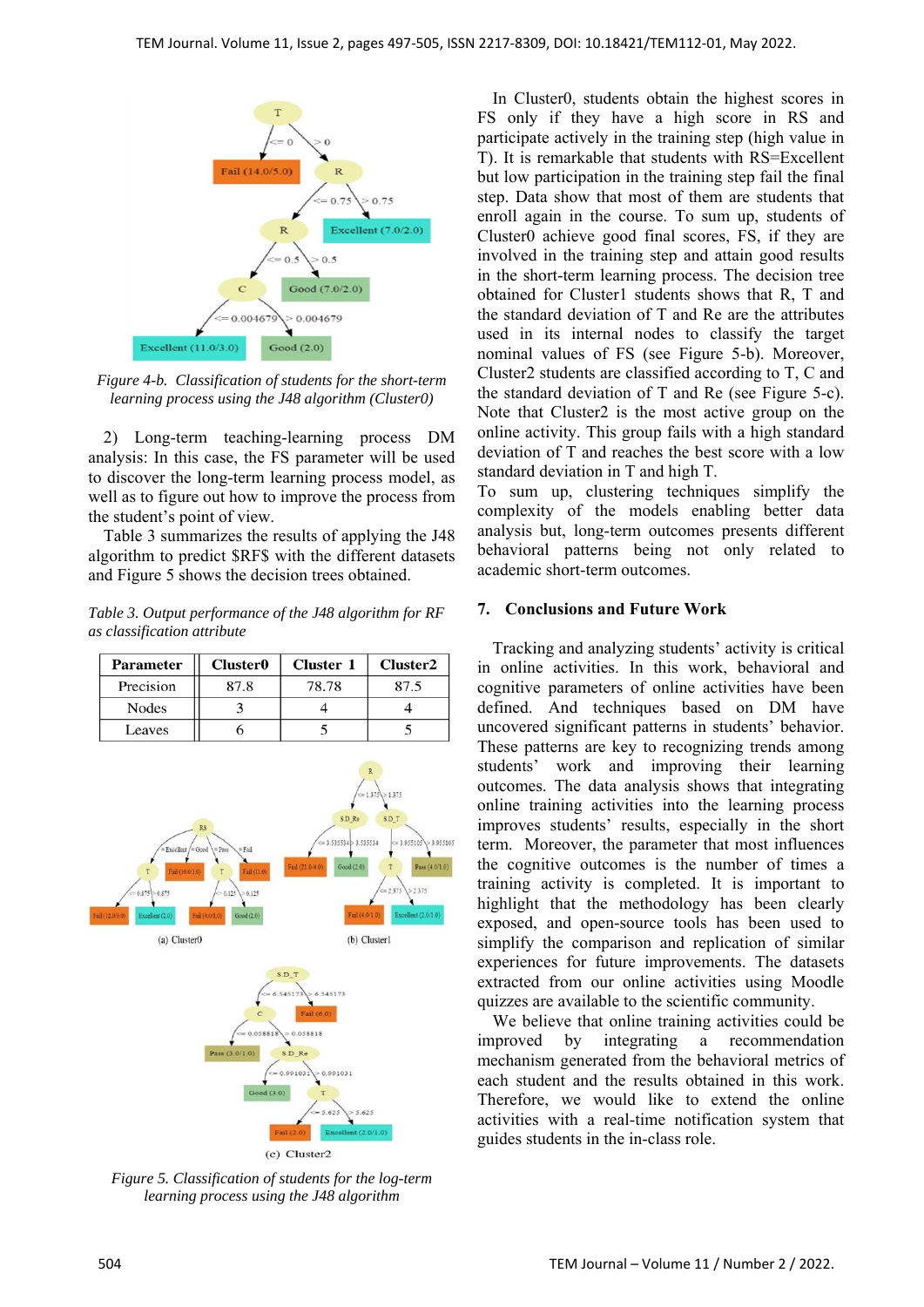

*Figure 4-b. Classification of students for the short-term learning process using the J48 algorithm (Cluster0)* 

2) Long-term teaching-learning process DM analysis: In this case, the FS parameter will be used to discover the long-term learning process model, as well as to figure out how to improve the process from the student's point of view.

Table 3 summarizes the results of applying the J48 algorithm to predict \$RF\$ with the different datasets and Figure 5 shows the decision trees obtained.

*Table 3. Output performance of the J48 algorithm for RF as classification attribute* 

|                                                                                                                                                                                                                                                                                                                                                                                                                                                                                                                                       | Parameter | <b>Cluster0</b> | <b>Cluster 1</b> | Cluster2 |  |  |  |
|---------------------------------------------------------------------------------------------------------------------------------------------------------------------------------------------------------------------------------------------------------------------------------------------------------------------------------------------------------------------------------------------------------------------------------------------------------------------------------------------------------------------------------------|-----------|-----------------|------------------|----------|--|--|--|
|                                                                                                                                                                                                                                                                                                                                                                                                                                                                                                                                       | Precision | 87.8            | 78.78            | 87.5     |  |  |  |
|                                                                                                                                                                                                                                                                                                                                                                                                                                                                                                                                       | Nodes     | 3               | 4                | 4        |  |  |  |
|                                                                                                                                                                                                                                                                                                                                                                                                                                                                                                                                       | Leaves    | 6               | 5                | 5        |  |  |  |
| $= 1.375$<br>>1.375<br>SD <sub>T</sub><br>SD <sub>Re</sub><br>RS<br>$\leq$ = 3.535534 > 3.535534<br>$\leq$ 3.955105 > 3.955105<br>Excellent /= Good<br>$=$ Pass<br>$=$ Fail<br>Fail (21.0/4.0)<br>Pass (4.0/1.0)<br>Good (2.0)<br>T<br>Fail (10.0/1.0)<br>T.<br>Fail (11.0)<br>$\footnotesize{\text{T}}$<br>> 2375<br>< 2.375<br>$= 0.875 > 0.875$<br>> 0.125<br>$= 0.125$<br>Fail (4.0/1.0)<br>Excellent $(2.01.0)$<br>Fail (4.0/1.0)<br>Good(2.0)<br>Fail (12.0/3.0)<br>Excellent (2.0)<br>(b) Cluster1<br>(a) Cluster <sub>0</sub> |           |                 |                  |          |  |  |  |
| S.D.T<br>> 6.545173<br>6.545173<br>Fail $(6.0)$<br>$\mathbf{C}$<br>$= 0.058818$<br>> 0.058818<br>Pass (3.0/1.0)<br>S.D_Re<br>$\leq$ = 0.991031<br>> 0.991031<br>Good (3.0)<br>т<br>$= 5.625$<br>> 5.625<br>Find (2.0)<br>Excellent (2.0/1.0)                                                                                                                                                                                                                                                                                          |           |                 |                  |          |  |  |  |

(c) Cluster2

*Figure 5. Classification of students for the log-term learning process using the J48 algorithm* 

In Cluster0, students obtain the highest scores in FS only if they have a high score in RS and participate actively in the training step (high value in T). It is remarkable that students with RS=Excellent but low participation in the training step fail the final step. Data show that most of them are students that enroll again in the course. To sum up, students of Cluster0 achieve good final scores, FS, if they are involved in the training step and attain good results in the short-term learning process. The decision tree obtained for Cluster1 students shows that R, T and the standard deviation of T and Re are the attributes used in its internal nodes to classify the target nominal values of FS (see Figure 5-b). Moreover, Cluster2 students are classified according to T, C and the standard deviation of T and Re (see Figure 5-c). Note that Cluster2 is the most active group on the online activity. This group fails with a high standard deviation of T and reaches the best score with a low standard deviation in T and high T.

To sum up, clustering techniques simplify the complexity of the models enabling better data analysis but, long-term outcomes presents different behavioral patterns being not only related to academic short-term outcomes.

## **7. Conclusions and Future Work**

Tracking and analyzing students' activity is critical in online activities. In this work, behavioral and cognitive parameters of online activities have been defined. And techniques based on DM have uncovered significant patterns in students' behavior. These patterns are key to recognizing trends among students' work and improving their learning outcomes. The data analysis shows that integrating online training activities into the learning process improves students' results, especially in the short term. Moreover, the parameter that most influences the cognitive outcomes is the number of times a training activity is completed. It is important to highlight that the methodology has been clearly exposed, and open-source tools has been used to simplify the comparison and replication of similar experiences for future improvements. The datasets extracted from our online activities using Moodle quizzes are available to the scientific community.

We believe that online training activities could be improved by integrating a recommendation mechanism generated from the behavioral metrics of each student and the results obtained in this work. Therefore, we would like to extend the online activities with a real-time notification system that guides students in the in-class role.